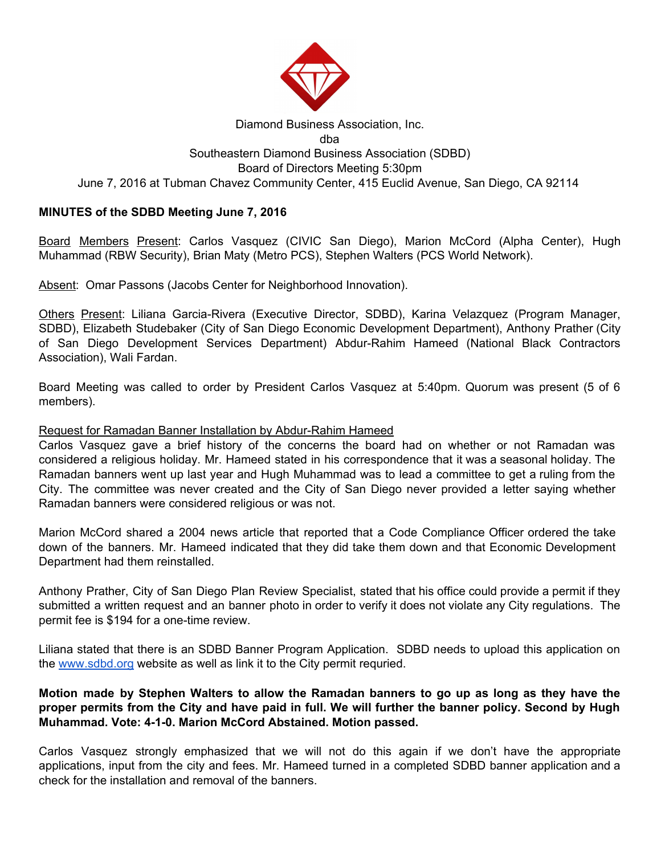

## Diamond Business Association, Inc. dba Southeastern Diamond Business Association (SDBD) Board of Directors Meeting 5:30pm June 7, 2016 at Tubman Chavez Community Center, 415 Euclid Avenue, San Diego, CA 92114

# **MINUTES of the SDBD Meeting June 7, 2016**

Board Members Present: Carlos Vasquez (CIVIC San Diego), Marion McCord (Alpha Center), Hugh Muhammad (RBW Security), Brian Maty (Metro PCS), Stephen Walters (PCS World Network).

Absent: Omar Passons (Jacobs Center for Neighborhood Innovation).

Others Present: Liliana Garcia-Rivera (Executive Director, SDBD), Karina Velazquez (Program Manager, SDBD), Elizabeth Studebaker (City of San Diego Economic Development Department), Anthony Prather (City of San Diego Development Services Department) Abdur-Rahim Hameed (National Black Contractors Association), Wali Fardan.

Board Meeting was called to order by President Carlos Vasquez at 5:40pm. Quorum was present (5 of 6 members).

### Request for Ramadan Banner Installation by Abdur-Rahim Hameed

Carlos Vasquez gave a brief history of the concerns the board had on whether or not Ramadan was considered a religious holiday. Mr. Hameed stated in his correspondence that it was a seasonal holiday. The Ramadan banners went up last year and Hugh Muhammad was to lead a committee to get a ruling from the City. The committee was never created and the City of San Diego never provided a letter saying whether Ramadan banners were considered religious or was not.

Marion McCord shared a 2004 news article that reported that a Code Compliance Officer ordered the take down of the banners. Mr. Hameed indicated that they did take them down and that Economic Development Department had them reinstalled.

Anthony Prather, City of San Diego Plan Review Specialist, stated that his office could provide a permit if they submitted a written request and an banner photo in order to verify it does not violate any City regulations. The permit fee is \$194 for a one-time review.

Liliana stated that there is an SDBD Banner Program Application. SDBD needs to upload this application on the [www.sdbd.org](http://www.sdbd.org/) website as well as link it to the City permit requried.

## Motion made by Stephen Walters to allow the Ramadan banners to go up as long as they have the proper permits from the City and have paid in full. We will further the banner policy. Second by Hugh **Muhammad. Vote: 4-1-0. Marion McCord Abstained. Motion passed.**

Carlos Vasquez strongly emphasized that we will not do this again if we don't have the appropriate applications, input from the city and fees. Mr. Hameed turned in a completed SDBD banner application and a check for the installation and removal of the banners.